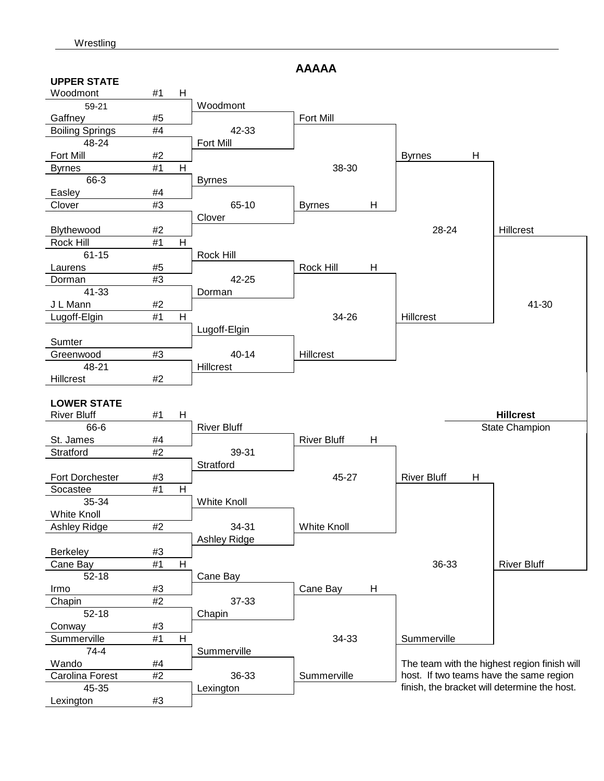**AAAAA** 

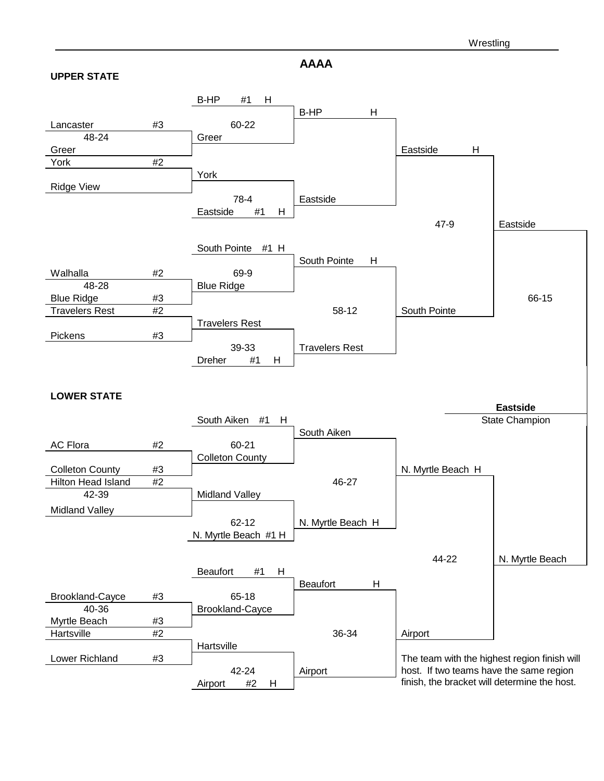**AAAA** 

#### **UPPER STATE**

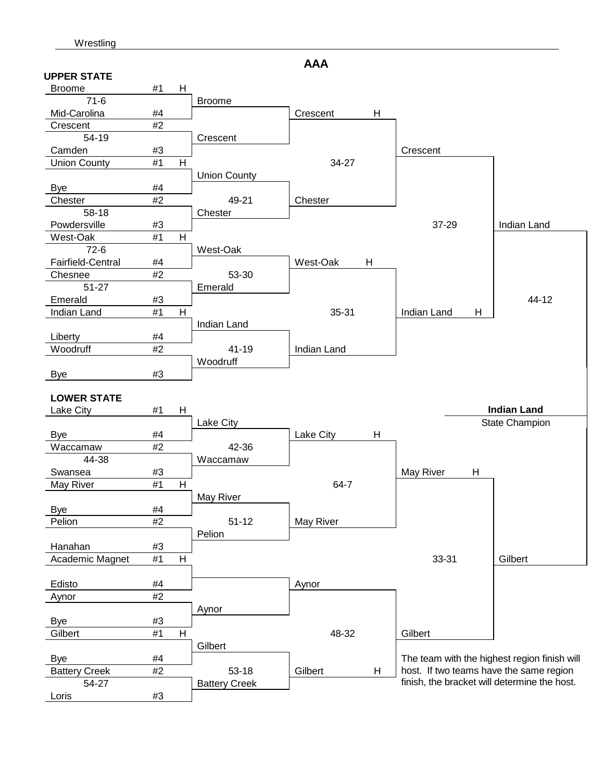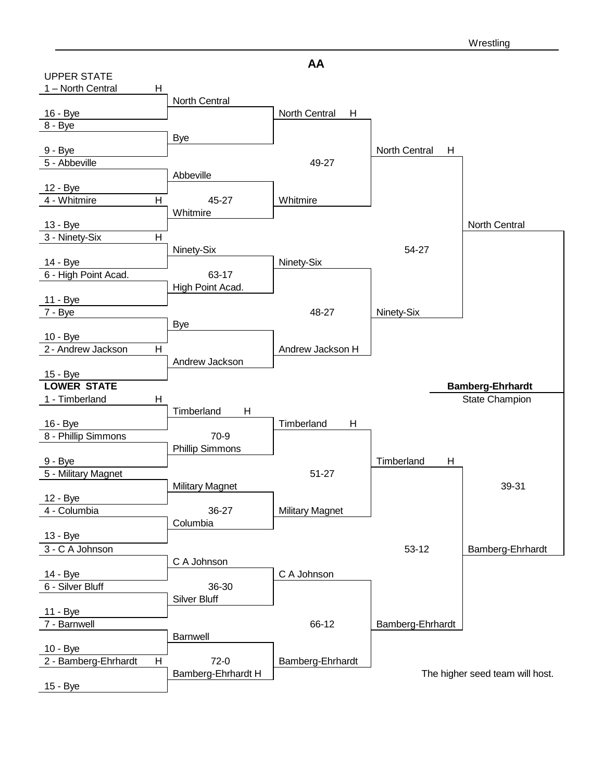

**AA**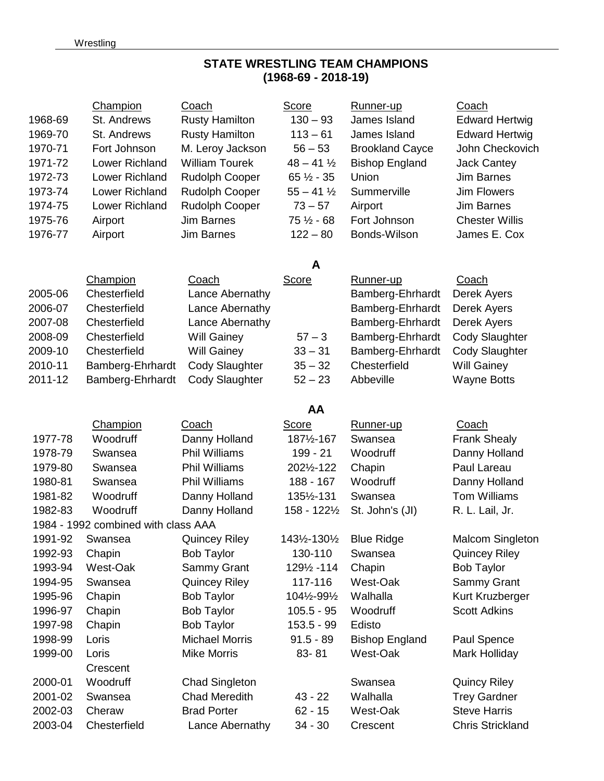# **STATE WRESTLING TEAM CHAMPIONS (1968-69 - 2018-19)**

|         | Champion                            | Coach                 | Score                 | Runner-up              | Coach                   |
|---------|-------------------------------------|-----------------------|-----------------------|------------------------|-------------------------|
| 1968-69 | St. Andrews                         | <b>Rusty Hamilton</b> | $130 - 93$            | James Island           | <b>Edward Hertwig</b>   |
| 1969-70 | St. Andrews                         | <b>Rusty Hamilton</b> | $113 - 61$            | James Island           | <b>Edward Hertwig</b>   |
| 1970-71 | Fort Johnson                        | M. Leroy Jackson      | $56 - 53$             | <b>Brookland Cayce</b> | John Checkovich         |
| 1971-72 | Lower Richland                      | <b>William Tourek</b> | $48 - 41\frac{1}{2}$  | <b>Bishop England</b>  | <b>Jack Cantey</b>      |
| 1972-73 | Lower Richland                      | Rudolph Cooper        | $65\frac{1}{2} - 35$  | Union                  | Jim Barnes              |
| 1973-74 | Lower Richland                      | <b>Rudolph Cooper</b> | $55 - 41\frac{1}{2}$  | Summerville            | <b>Jim Flowers</b>      |
| 1974-75 | Lower Richland                      | Rudolph Cooper        | $73 - 57$             | Airport                | <b>Jim Barnes</b>       |
| 1975-76 | Airport                             | <b>Jim Barnes</b>     | 75 $\frac{1}{2}$ - 68 | Fort Johnson           | <b>Chester Willis</b>   |
| 1976-77 | Airport                             | <b>Jim Barnes</b>     | $122 - 80$            | Bonds-Wilson           | James E. Cox            |
|         |                                     |                       | A                     |                        |                         |
|         | Champion                            | Coach                 | <b>Score</b>          | <u>Runner-up</u>       | <b>Coach</b>            |
| 2005-06 | Chesterfield                        | Lance Abernathy       |                       | Bamberg-Ehrhardt       | Derek Ayers             |
| 2006-07 | Chesterfield                        | Lance Abernathy       |                       | Bamberg-Ehrhardt       | Derek Ayers             |
| 2007-08 | Chesterfield                        | Lance Abernathy       |                       | Bamberg-Ehrhardt       | Derek Ayers             |
| 2008-09 | Chesterfield                        | <b>Will Gainey</b>    | $57 - 3$              | Bamberg-Ehrhardt       | <b>Cody Slaughter</b>   |
| 2009-10 | Chesterfield                        | <b>Will Gainey</b>    | $33 - 31$             | Bamberg-Ehrhardt       | <b>Cody Slaughter</b>   |
| 2010-11 | Bamberg-Ehrhardt                    | <b>Cody Slaughter</b> | $35 - 32$             | Chesterfield           | <b>Will Gainey</b>      |
| 2011-12 | Bamberg-Ehrhardt                    | <b>Cody Slaughter</b> | $52 - 23$             | Abbeville              | <b>Wayne Botts</b>      |
|         |                                     |                       | AA                    |                        |                         |
|         | <b>Champion</b>                     | Coach                 | <b>Score</b>          | Runner-up              | Coach                   |
| 1977-78 | Woodruff                            | Danny Holland         | 1871/2-167            | Swansea                | <b>Frank Shealy</b>     |
| 1978-79 | Swansea                             | <b>Phil Williams</b>  | 199 - 21              | Woodruff               | Danny Holland           |
| 1979-80 | Swansea                             | <b>Phil Williams</b>  | 2021/2-122            | Chapin                 | Paul Lareau             |
| 1980-81 | Swansea                             | <b>Phil Williams</b>  | 188 - 167             | Woodruff               | Danny Holland           |
| 1981-82 | Woodruff                            | Danny Holland         | 135½-131              | Swansea                | <b>Tom Williams</b>     |
| 1982-83 | Woodruff                            | Danny Holland         | 158 - 1221/2          | St. John's (JI)        | R. L. Lail, Jr.         |
|         | 1984 - 1992 combined with class AAA |                       |                       |                        |                         |
| 1991-92 | Swansea                             | <b>Quincey Riley</b>  | 1431/2-1301/2         | <b>Blue Ridge</b>      | <b>Malcom Singleton</b> |
| 1992-93 | Chapin                              | <b>Bob Taylor</b>     | 130-110               | Swansea                | <b>Quincey Riley</b>    |
| 1993-94 | West-Oak                            | Sammy Grant           | 1291/2 - 114          | Chapin                 | <b>Bob Taylor</b>       |
| 1994-95 | Swansea                             | <b>Quincey Riley</b>  | 117-116               | West-Oak               | Sammy Grant             |
| 1995-96 | Chapin                              | <b>Bob Taylor</b>     | 1041/2-991/2          | Walhalla               | Kurt Kruzberger         |
| 1996-97 | Chapin                              | <b>Bob Taylor</b>     | $105.5 - 95$          | Woodruff               | <b>Scott Adkins</b>     |
| 1997-98 | Chapin                              | <b>Bob Taylor</b>     | $153.5 - 99$          | Edisto                 |                         |
| 1998-99 | Loris                               | <b>Michael Morris</b> | $91.5 - 89$           | <b>Bishop England</b>  | Paul Spence             |
| 1999-00 | Loris                               | <b>Mike Morris</b>    | 83-81                 | West-Oak               | Mark Holliday           |
|         | Crescent                            |                       |                       |                        |                         |
| 2000-01 | Woodruff                            | <b>Chad Singleton</b> |                       | Swansea                | <b>Quincy Riley</b>     |
| 2001-02 | Swansea                             | <b>Chad Meredith</b>  | $43 - 22$             | Walhalla               | <b>Trey Gardner</b>     |
| 2002-03 |                                     |                       |                       | West-Oak               | <b>Steve Harris</b>     |
|         | Cheraw                              | <b>Brad Porter</b>    | $62 - 15$             |                        |                         |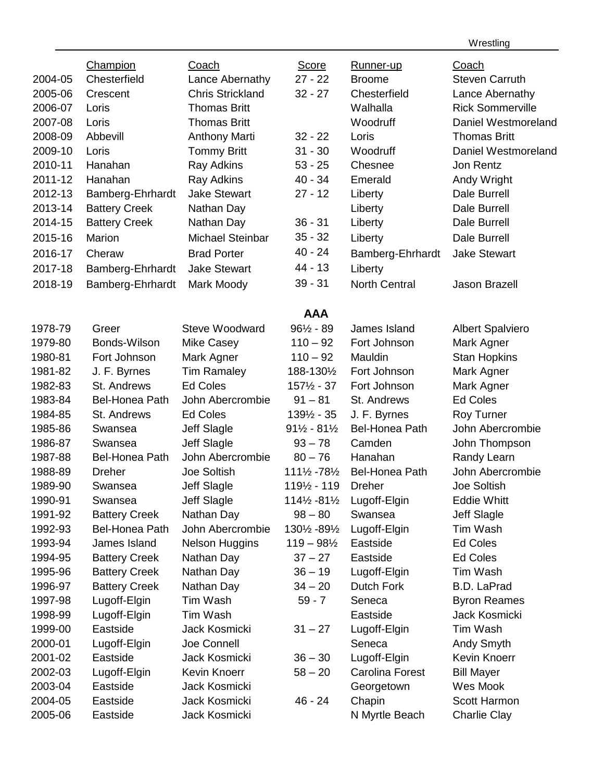**Wrestling** 

| <b>Champion</b><br><b>Score</b><br>Coach<br>Coach<br>Runner-up<br>Chesterfield<br>2004-05<br>Lance Abernathy<br>$27 - 22$<br><b>Broome</b><br><b>Steven Carruth</b><br><b>Chris Strickland</b><br>$32 - 27$<br>2005-06<br>Chesterfield<br>Lance Abernathy<br>Crescent<br><b>Rick Sommerville</b><br>2006-07<br><b>Thomas Britt</b><br>Walhalla<br>Loris<br>2007-08<br>Loris<br><b>Thomas Britt</b><br>Woodruff<br>Daniel Westmoreland |  |
|---------------------------------------------------------------------------------------------------------------------------------------------------------------------------------------------------------------------------------------------------------------------------------------------------------------------------------------------------------------------------------------------------------------------------------------|--|
|                                                                                                                                                                                                                                                                                                                                                                                                                                       |  |
|                                                                                                                                                                                                                                                                                                                                                                                                                                       |  |
|                                                                                                                                                                                                                                                                                                                                                                                                                                       |  |
|                                                                                                                                                                                                                                                                                                                                                                                                                                       |  |
| 2008-09<br>Abbevill<br>$32 - 22$<br>Loris<br><b>Thomas Britt</b>                                                                                                                                                                                                                                                                                                                                                                      |  |
| <b>Anthony Marti</b><br>2009-10<br>Loris<br>$31 - 30$<br>Woodruff<br>Daniel Westmoreland                                                                                                                                                                                                                                                                                                                                              |  |
| <b>Tommy Britt</b><br>2010-11<br>Hanahan<br>$53 - 25$<br>Chesnee<br>Jon Rentz                                                                                                                                                                                                                                                                                                                                                         |  |
| Ray Adkins<br>2011-12<br>$40 - 34$<br>Hanahan<br>Ray Adkins<br>Emerald                                                                                                                                                                                                                                                                                                                                                                |  |
| Andy Wright<br><b>Jake Stewart</b><br>2012-13<br>$27 - 12$<br><b>Dale Burrell</b>                                                                                                                                                                                                                                                                                                                                                     |  |
| Bamberg-Ehrhardt<br>Liberty<br>2013-14<br>Dale Burrell                                                                                                                                                                                                                                                                                                                                                                                |  |
| <b>Battery Creek</b><br>Nathan Day<br>Liberty<br>Dale Burrell<br>2014-15<br>$36 - 31$                                                                                                                                                                                                                                                                                                                                                 |  |
| <b>Battery Creek</b><br>Nathan Day<br>Liberty                                                                                                                                                                                                                                                                                                                                                                                         |  |
| $35 - 32$<br><b>Michael Steinbar</b><br>2015-16<br>Marion<br>Liberty<br><b>Dale Burrell</b>                                                                                                                                                                                                                                                                                                                                           |  |
| $40 - 24$<br>2016-17<br><b>Jake Stewart</b><br>Cheraw<br><b>Brad Porter</b><br>Bamberg-Ehrhardt                                                                                                                                                                                                                                                                                                                                       |  |
| 44 - 13<br><b>Jake Stewart</b><br>2017-18<br>Liberty<br>Bamberg-Ehrhardt                                                                                                                                                                                                                                                                                                                                                              |  |
| $39 - 31$<br>2018-19<br>Bamberg-Ehrhardt<br>Mark Moody<br><b>North Central</b><br><b>Jason Brazell</b>                                                                                                                                                                                                                                                                                                                                |  |
| <b>AAA</b>                                                                                                                                                                                                                                                                                                                                                                                                                            |  |
| $96\frac{1}{2} - 89$<br>1978-79<br>Greer<br>Steve Woodward<br>James Island<br><b>Albert Spalviero</b>                                                                                                                                                                                                                                                                                                                                 |  |
| 1979-80<br>Bonds-Wilson<br>$110 - 92$<br>Fort Johnson<br>Mark Agner<br>Mike Casey                                                                                                                                                                                                                                                                                                                                                     |  |
| Mauldin<br>1980-81<br>Fort Johnson<br>Mark Agner<br>$110 - 92$<br><b>Stan Hopkins</b>                                                                                                                                                                                                                                                                                                                                                 |  |
| J. F. Byrnes<br><b>Tim Ramaley</b><br>1981-82<br>188-1301/2<br>Fort Johnson<br>Mark Agner                                                                                                                                                                                                                                                                                                                                             |  |
| <b>Ed Coles</b><br>1982-83<br>St. Andrews<br>$157\frac{1}{2} - 37$<br>Fort Johnson<br>Mark Agner                                                                                                                                                                                                                                                                                                                                      |  |
| John Abercrombie<br><b>Ed Coles</b><br>1983-84<br><b>Bel-Honea Path</b><br>$91 - 81$<br>St. Andrews                                                                                                                                                                                                                                                                                                                                   |  |
| <b>Ed Coles</b><br>J. F. Byrnes<br>1984-85<br>St. Andrews<br>1391/2 - 35<br><b>Roy Turner</b>                                                                                                                                                                                                                                                                                                                                         |  |
| 1985-86<br>Jeff Slagle<br><b>Bel-Honea Path</b><br>John Abercrombie<br>Swansea<br>$91\frac{1}{2} - 81\frac{1}{2}$                                                                                                                                                                                                                                                                                                                     |  |
| 1986-87<br>Jeff Slagle<br>$93 - 78$<br>Camden<br>John Thompson<br>Swansea                                                                                                                                                                                                                                                                                                                                                             |  |
| John Abercrombie<br>1987-88<br><b>Bel-Honea Path</b><br>$80 - 76$<br>Hanahan<br>Randy Learn                                                                                                                                                                                                                                                                                                                                           |  |
| John Abercrombie<br>1988-89<br><b>Dreher</b><br>Joe Soltish<br>1111/2 - 781/2<br><b>Bel-Honea Path</b>                                                                                                                                                                                                                                                                                                                                |  |
| <b>Joe Soltish</b><br>1989-90<br><b>Jeff Slagle</b><br>1191/2 - 119<br><b>Dreher</b><br>Swansea                                                                                                                                                                                                                                                                                                                                       |  |
| 1990-91<br>Jeff Slagle<br>1141/2 - 811/2<br>Lugoff-Elgin<br><b>Eddie Whitt</b><br>Swansea                                                                                                                                                                                                                                                                                                                                             |  |
| 1991-92<br>Nathan Day<br>$98 - 80$<br>Jeff Slagle<br><b>Battery Creek</b><br>Swansea                                                                                                                                                                                                                                                                                                                                                  |  |
| John Abercrombie<br><b>Bel-Honea Path</b><br>1301/2 - 891/2<br>Lugoff-Elgin<br>Tim Wash<br>1992-93                                                                                                                                                                                                                                                                                                                                    |  |
| 1993-94<br>James Island<br><b>Nelson Huggins</b><br>Eastside<br><b>Ed Coles</b><br>$119 - 98\frac{1}{2}$                                                                                                                                                                                                                                                                                                                              |  |
| <b>Battery Creek</b><br>$37 - 27$<br>Eastside<br><b>Ed Coles</b><br>1994-95<br>Nathan Day                                                                                                                                                                                                                                                                                                                                             |  |
| 1995-96<br><b>Battery Creek</b><br>Nathan Day<br>Tim Wash<br>$36 - 19$<br>Lugoff-Elgin                                                                                                                                                                                                                                                                                                                                                |  |
| <b>Battery Creek</b><br>Dutch Fork<br><b>B.D. LaPrad</b><br>1996-97<br>Nathan Day<br>$34 - 20$                                                                                                                                                                                                                                                                                                                                        |  |
| Lugoff-Elgin<br>Tim Wash<br>$59 - 7$<br><b>Byron Reames</b><br>1997-98<br>Seneca                                                                                                                                                                                                                                                                                                                                                      |  |
| Lugoff-Elgin<br>Tim Wash<br>Eastside<br>Jack Kosmicki<br>1998-99                                                                                                                                                                                                                                                                                                                                                                      |  |
| Eastside<br>Tim Wash<br>1999-00<br>Jack Kosmicki<br>$31 - 27$<br>Lugoff-Elgin                                                                                                                                                                                                                                                                                                                                                         |  |
| 2000-01<br>Joe Connell<br>Seneca<br>Lugoff-Elgin<br>Andy Smyth                                                                                                                                                                                                                                                                                                                                                                        |  |
| Eastside<br>Jack Kosmicki<br>Lugoff-Elgin<br>Kevin Knoerr<br>2001-02<br>$36 - 30$                                                                                                                                                                                                                                                                                                                                                     |  |
| Kevin Knoerr<br>2002-03<br>Lugoff-Elgin<br><b>Carolina Forest</b><br><b>Bill Mayer</b><br>$58 - 20$                                                                                                                                                                                                                                                                                                                                   |  |
| 2003-04<br>Eastside<br>Jack Kosmicki<br>Wes Mook<br>Georgetown                                                                                                                                                                                                                                                                                                                                                                        |  |
| Scott Harmon<br>2004-05<br>Eastside<br>Jack Kosmicki<br>$46 - 24$<br>Chapin                                                                                                                                                                                                                                                                                                                                                           |  |
| 2005-06<br>Eastside<br>Jack Kosmicki<br>N Myrtle Beach<br><b>Charlie Clay</b>                                                                                                                                                                                                                                                                                                                                                         |  |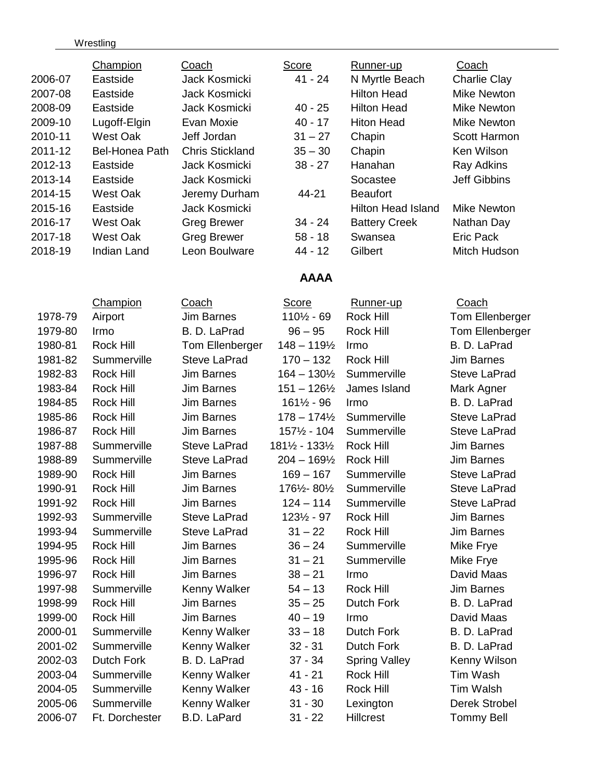### **Wrestling**

| <b>Champion</b><br>Coach                            | Score                  | Runner-up            | <b>Coach</b>        |
|-----------------------------------------------------|------------------------|----------------------|---------------------|
| 2006-07<br>Eastside<br>Jack Kosmicki                | $41 - 24$              | N Myrtle Beach       | <b>Charlie Clay</b> |
| 2007-08<br>Jack Kosmicki<br>Eastside                |                        | <b>Hilton Head</b>   | <b>Mike Newton</b>  |
| 2008-09<br>Eastside<br>Jack Kosmicki                | $40 - 25$              | <b>Hilton Head</b>   | <b>Mike Newton</b>  |
| 2009-10<br>Evan Moxie<br>Lugoff-Elgin               | $40 - 17$              | <b>Hiton Head</b>    | <b>Mike Newton</b>  |
| 2010-11<br><b>West Oak</b><br>Jeff Jordan           | $31 - 27$              | Chapin               | Scott Harmon        |
| 2011-12<br>Bel-Honea Path<br><b>Chris Stickland</b> | $35 - 30$              | Chapin               | Ken Wilson          |
| 2012-13<br>Jack Kosmicki<br>Eastside                | $38 - 27$              | Hanahan              | Ray Adkins          |
| 2013-14<br>Eastside<br>Jack Kosmicki                |                        | Socastee             | <b>Jeff Gibbins</b> |
| 2014-15<br>West Oak<br>Jeremy Durham                | 44-21                  | <b>Beaufort</b>      |                     |
| 2015-16<br>Eastside<br>Jack Kosmicki                |                        | Hilton Head Island   | <b>Mike Newton</b>  |
| 2016-17<br>West Oak<br><b>Greg Brewer</b>           | $34 - 24$              | <b>Battery Creek</b> | Nathan Day          |
| <b>West Oak</b><br>2017-18<br><b>Greg Brewer</b>    | $58 - 18$              | Swansea              | <b>Eric Pack</b>    |
| 2018-19<br><b>Indian Land</b><br>Leon Boulware      | 44 - 12                | Gilbert              | Mitch Hudson        |
|                                                     | <b>AAAA</b>            |                      |                     |
| Champion<br><b>Coach</b>                            | <b>Score</b>           | Runner-up            | Coach               |
| <b>Jim Barnes</b><br>1978-79<br>Airport             | 1101/2 - 69            | Rock Hill            | Tom Ellenberger     |
| 1979-80<br>Irmo<br>B. D. LaPrad                     | $96 - 95$              | Rock Hill            | Tom Ellenberger     |
| <b>Rock Hill</b><br>1980-81<br>Tom Ellenberger      | $148 - 119\frac{1}{2}$ | Irmo                 | B. D. LaPrad        |
| 1981-82<br>Summerville<br><b>Steve LaPrad</b>       | $170 - 132$            | <b>Rock Hill</b>     | <b>Jim Barnes</b>   |
| 1982-83<br>Rock Hill<br><b>Jim Barnes</b>           | $164 - 130\frac{1}{2}$ | Summerville          | <b>Steve LaPrad</b> |
| 1983-84<br>Rock Hill<br>Jim Barnes                  | $151 - 126\frac{1}{2}$ | James Island         | Mark Agner          |
| Rock Hill<br><b>Jim Barnes</b><br>1984-85           | 161½ - 96              | Irmo                 | B. D. LaPrad        |
| 1985-86<br>Rock Hill<br><b>Jim Barnes</b>           | $178 - 174\frac{1}{2}$ | Summerville          | <b>Steve LaPrad</b> |
| Jim Barnes<br>1986-87<br>Rock Hill                  | 1571/2 - 104           | Summerville          | <b>Steve LaPrad</b> |
| 1987-88<br>Summerville<br><b>Steve LaPrad</b>       | 181½ - 133½            | Rock Hill            | <b>Jim Barnes</b>   |
| 1988-89<br>Summerville<br><b>Steve LaPrad</b>       | $204 - 169\frac{1}{2}$ | Rock Hill            | <b>Jim Barnes</b>   |
| Rock Hill<br>Jim Barnes<br>1989-90                  | $169 - 167$            | Summerville          | <b>Steve LaPrad</b> |
| 1990-91<br>Rock Hill<br>Jim Barnes                  | 176½-80½               | Summerville          | <b>Steve LaPrad</b> |
| 1991-92<br>Rock Hill<br>Jim Barnes                  | 124 – 114              | Summerville          | Steve LaPrad        |
| Summerville<br><b>Steve LaPrad</b><br>1992-93       | 1231/2 - 97            | <b>Rock Hill</b>     | <b>Jim Barnes</b>   |
| Summerville<br><b>Steve LaPrad</b><br>1993-94       | $31 - 22$              | <b>Rock Hill</b>     | <b>Jim Barnes</b>   |
| Rock Hill<br>1994-95<br><b>Jim Barnes</b>           | $36 - 24$              | Summerville          | Mike Frye           |
| Rock Hill<br><b>Jim Barnes</b><br>1995-96           | $31 - 21$              | Summerville          | Mike Frye           |
| Rock Hill<br><b>Jim Barnes</b><br>1996-97           | $38 - 21$              | Irmo                 | David Maas          |
| Summerville<br>1997-98<br>Kenny Walker              | $54 - 13$              | <b>Rock Hill</b>     | <b>Jim Barnes</b>   |
| Rock Hill<br>1998-99<br><b>Jim Barnes</b>           | $35 - 25$              | <b>Dutch Fork</b>    | B. D. LaPrad        |
| Rock Hill<br><b>Jim Barnes</b><br>1999-00           | $40 - 19$              | Irmo                 | David Maas          |
| Summerville<br>Kenny Walker<br>2000-01              | $33 - 18$              | Dutch Fork           | B. D. LaPrad        |
| 2001-02<br>Summerville<br>Kenny Walker              | $32 - 31$              | <b>Dutch Fork</b>    | B. D. LaPrad        |
| 2002-03<br><b>Dutch Fork</b><br>B. D. LaPrad        | $37 - 34$              | <b>Spring Valley</b> | Kenny Wilson        |
| Summerville<br>Kenny Walker<br>2003-04              | $41 - 21$              | Rock Hill            | Tim Wash            |
| 2004-05<br>Summerville<br>Kenny Walker              | $43 - 16$              | Rock Hill            | Tim Walsh           |
| 2005-06<br>Summerville<br>Kenny Walker              | $31 - 30$              | Lexington            | Derek Strobel       |

2006-07 Ft. Dorchester B.D. LaPard 31 - 22 Hillcrest Tommy Bell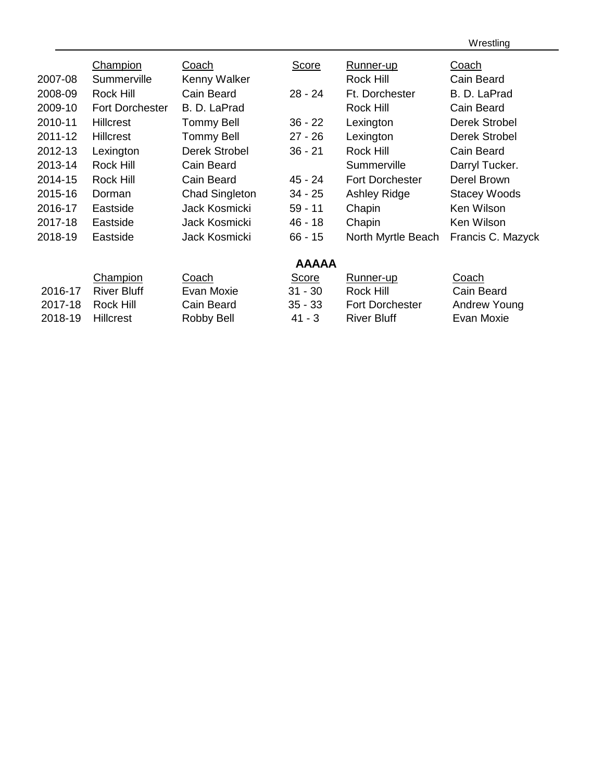Wrestling

|         | Champion               | Coach                 | Score        | Runner-up              | Coach               |
|---------|------------------------|-----------------------|--------------|------------------------|---------------------|
| 2007-08 | Summerville            | Kenny Walker          |              | <b>Rock Hill</b>       | Cain Beard          |
| 2008-09 | Rock Hill              | Cain Beard            | $28 - 24$    | Ft. Dorchester         | B. D. LaPrad        |
| 2009-10 | <b>Fort Dorchester</b> | B. D. LaPrad          |              | <b>Rock Hill</b>       | Cain Beard          |
| 2010-11 | <b>Hillcrest</b>       | <b>Tommy Bell</b>     | $36 - 22$    | Lexington              | Derek Strobel       |
| 2011-12 | <b>Hillcrest</b>       | <b>Tommy Bell</b>     | $27 - 26$    | Lexington              | Derek Strobel       |
| 2012-13 | Lexington              | Derek Strobel         | $36 - 21$    | <b>Rock Hill</b>       | Cain Beard          |
| 2013-14 | <b>Rock Hill</b>       | Cain Beard            |              | Summerville            | Darryl Tucker.      |
| 2014-15 | Rock Hill              | Cain Beard            | $45 - 24$    | <b>Fort Dorchester</b> | Derel Brown         |
| 2015-16 | Dorman                 | <b>Chad Singleton</b> | $34 - 25$    | <b>Ashley Ridge</b>    | <b>Stacey Woods</b> |
| 2016-17 | Eastside               | Jack Kosmicki         | $59 - 11$    | Chapin                 | Ken Wilson          |
| 2017-18 | Eastside               | Jack Kosmicki         | $46 - 18$    | Chapin                 | Ken Wilson          |
| 2018-19 | Eastside               | Jack Kosmicki         | $66 - 15$    | North Myrtle Beach     | Francis C. Mazyck   |
|         |                        |                       | <b>AAAAA</b> |                        |                     |

|                   | Champion            | Coach      | <b>Score</b> | Runner-up              | Coach        |
|-------------------|---------------------|------------|--------------|------------------------|--------------|
|                   | 2016-17 River Bluff | Evan Moxie | $31 - 30$    | Rock Hill              | Cain Beard   |
| 2017-18 Rock Hill |                     | Cain Beard | $35 - 33$    | <b>Fort Dorchester</b> | Andrew Young |
| 2018-19 Hillcrest |                     | Robby Bell | $41 - 3$     | <b>River Bluff</b>     | Evan Moxie   |
|                   |                     |            |              |                        |              |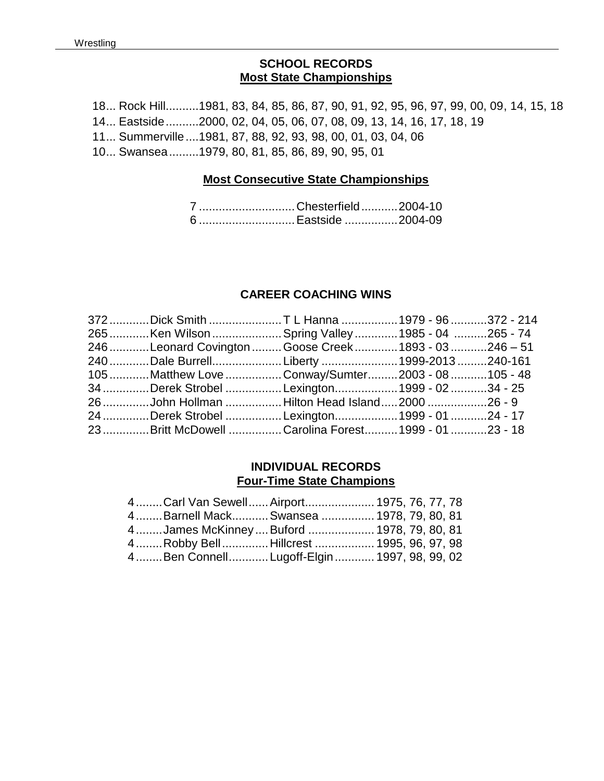### **SCHOOL RECORDS Most State Championships**

18... Rock Hill..........1981, 83, 84, 85, 86, 87, 90, 91, 92, 95, 96, 97, 99, 00, 09, 14, 15, 18 14... Eastside..........2000, 02, 04, 05, 06, 07, 08, 09, 13, 14, 16, 17, 18, 19 11... Summerville....1981, 87, 88, 92, 93, 98, 00, 01, 03, 04, 06 10... Swansea.........1979, 80, 81, 85, 86, 89, 90, 95, 01

#### **Most Consecutive State Championships**

7 .............................Chesterfield...........2004-10 6 .............................Eastside ................2004-09

### **CAREER COACHING WINS**

| 372 Dick Smith T L Hanna 1979 - 96 372 - 214         |  |  |
|------------------------------------------------------|--|--|
| 265 Ken Wilson  Spring Valley 1985 - 04 265 - 74     |  |  |
| 246 Leonard Covington Goose Creek 1893 - 03 246 - 51 |  |  |
| 240 Dale BurrellLiberty 1999-2013 240-161            |  |  |
| 105 Matthew Love Conway/Sumter2003 - 08 105 - 48     |  |  |
| 34 Derek Strobel Lexington1999 - 02 34 - 25          |  |  |
| 26 John Hollman Hilton Head Island2000 26 - 9        |  |  |
| 24 Derek Strobel Lexington1999 - 01 24 - 17          |  |  |
| 23 Britt McDowell Carolina Forest 1999 - 01 23 - 18  |  |  |

### **INDIVIDUAL RECORDS Four-Time State Champions**

|  | 4Carl Van Sewell Airport 1975, 76, 77, 78     |  |  |
|--|-----------------------------------------------|--|--|
|  | 4Barnell MackSwansea  1978, 79, 80, 81        |  |  |
|  | 4James McKinney  Buford  1978, 79, 80, 81     |  |  |
|  | 4  Robby Bell  Hillcrest  1995, 96, 97, 98    |  |  |
|  | 4  Ben Connell Lugoff-Elgin  1997, 98, 99, 02 |  |  |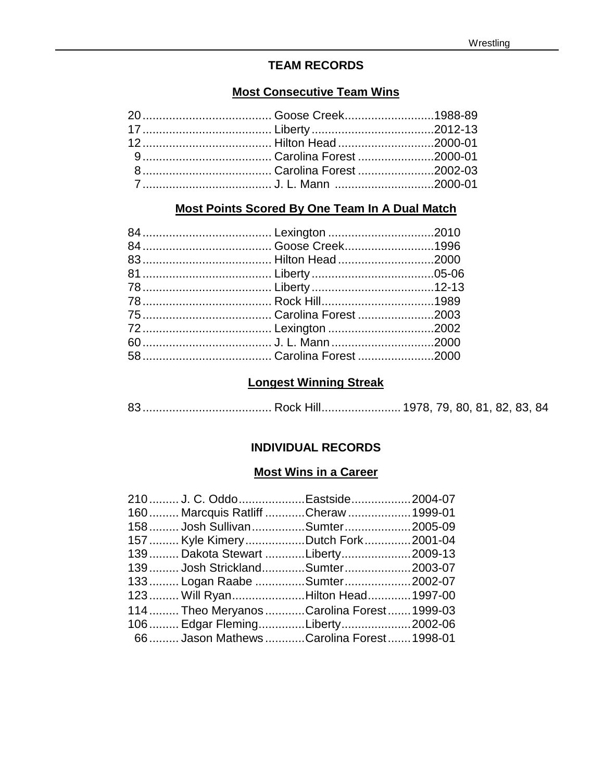# **TEAM RECORDS**

### **Most Consecutive Team Wins**

# **Most Points Scored By One Team In A Dual Match**

# **Longest Winning Streak**

83....................................... Rock Hill........................ 1978, 79, 80, 81, 82, 83, 84

# **INDIVIDUAL RECORDS**

### **Most Wins in a Career**

| 210 J. C. OddoEastside2004-07             |  |
|-------------------------------------------|--|
| 160 Marcquis Ratliff Cheraw  1999-01      |  |
| 158 Josh SullivanSumter2005-09            |  |
| 157 Kyle KimeryDutch Fork2001-04          |  |
| 139 Dakota Stewart Liberty2009-13         |  |
| 139 Josh StricklandSumter2003-07          |  |
| 133 Logan Raabe Sumter2002-07             |  |
| 123 Will RyanHilton Head 1997-00          |  |
| 114 Theo Meryanos Carolina Forest 1999-03 |  |
| 106 Edgar FlemingLiberty2002-06           |  |
| 66 Jason MathewsCarolina Forest 1998-01   |  |